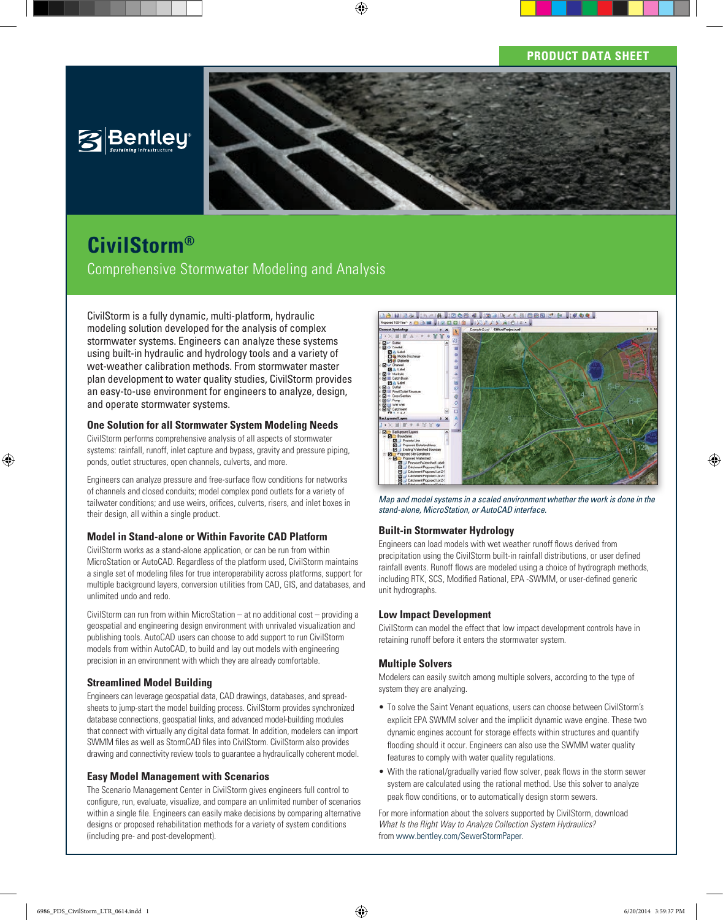## **PRODUCT DATA SHEET**





# **CivilStorm®**

Comprehensive Stormwater Modeling and Analysis

CivilStorm is a fully dynamic, multi-platform, hydraulic modeling solution developed for the analysis of complex stormwater systems. Engineers can analyze these systems using built-in hydraulic and hydrology tools and a variety of wet-weather calibration methods. From stormwater master plan development to water quality studies, CivilStorm provides an easy-to-use environment for engineers to analyze, design, and operate stormwater systems.

## **One Solution for all Stormwater System Modeling Needs**

CivilStorm performs comprehensive analysis of all aspects of stormwater systems: rainfall, runoff, inlet capture and bypass, gravity and pressure piping, ponds, outlet structures, open channels, culverts, and more.

Engineers can analyze pressure and free-surface flow conditions for networks of channels and closed conduits; model complex pond outlets for a variety of tailwater conditions; and use weirs, orifices, culverts, risers, and inlet boxes in their design, all within a single product.

## **Model in Stand-alone or Within Favorite CAD Platform**

CivilStorm works as a stand-alone application, or can be run from within MicroStation or AutoCAD. Regardless of the platform used, CivilStorm maintains a single set of modeling files for true interoperability across platforms, support for multiple background layers, conversion utilities from CAD, GIS, and databases, and unlimited undo and redo.

CivilStorm can run from within MicroStation – at no additional cost – providing a geospatial and engineering design environment with unrivaled visualization and publishing tools. AutoCAD users can choose to add support to run CivilStorm models from within AutoCAD, to build and lay out models with engineering precision in an environment with which they are already comfortable.

## **Streamlined Model Building**

Engineers can leverage geospatial data, CAD drawings, databases, and spreadsheets to jump-start the model building process. CivilStorm provides synchronized database connections, geospatial links, and advanced model-building modules that connect with virtually any digital data format. In addition, modelers can import SWMM files as well as StormCAD files into CivilStorm. CivilStorm also provides drawing and connectivity review tools to guarantee a hydraulically coherent model.

#### **Easy Model Management with Scenarios**

The Scenario Management Center in CivilStorm gives engineers full control to configure, run, evaluate, visualize, and compare an unlimited number of scenarios within a single file. Engineers can easily make decisions by comparing alternative designs or proposed rehabilitation methods for a variety of system conditions (including pre- and post-development).



*Map and model systems in a scaled environment whether the work is done in the stand-alone, MicroStation, or AutoCAD interface.*

## **Built-in Stormwater Hydrology**

Engineers can load models with wet weather runoff flows derived from precipitation using the CivilStorm built-in rainfall distributions, or user defined rainfall events. Runoff flows are modeled using a choice of hydrograph methods, including RTK, SCS, Modified Rational, EPA -SWMM, or user-defined generic unit hydrographs.

## **Low Impact Development**

CivilStorm can model the effect that low impact development controls have in retaining runoff before it enters the stormwater system.

## **Multiple Solvers**

Modelers can easily switch among multiple solvers, according to the type of system they are analyzing.

- To solve the Saint Venant equations, users can choose between CivilStorm's explicit EPA SWMM solver and the implicit dynamic wave engine. These two dynamic engines account for storage effects within structures and quantify flooding should it occur. Engineers can also use the SWMM water quality features to comply with water quality regulations.
- With the rational/gradually varied flow solver, peak flows in the storm sewer system are calculated using the rational method. Use this solver to analyze peak flow conditions, or to automatically design storm sewers.

For more information about the solvers supported by CivilStorm, download *What Is the Right Way to Analyze Collection System Hydraulics?* from www.bentley.com/SewerStormPaper.